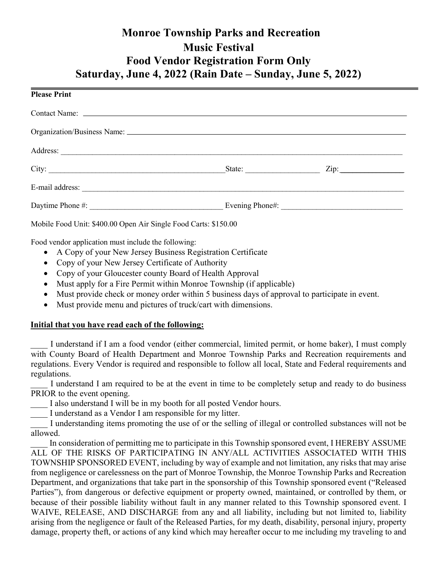# Monroe Township Parks and Recreation Music Festival Food Vendor Registration Form Only Saturday, June 4, 2022 (Rain Date – Sunday, June 5, 2022)

| <b>Please Print</b>                                             |      |  |
|-----------------------------------------------------------------|------|--|
|                                                                 |      |  |
|                                                                 |      |  |
|                                                                 |      |  |
|                                                                 | Zip: |  |
|                                                                 |      |  |
|                                                                 |      |  |
| Mobile Food Unit: \$400.00 Open Air Single Food Carts: \$150.00 |      |  |

Food vendor application must include the following:

- A Copy of your New Jersey Business Registration Certificate
- Copy of your New Jersey Certificate of Authority
- Copy of your Gloucester county Board of Health Approval
- Must apply for a Fire Permit within Monroe Township (if applicable)
- Must provide check or money order within 5 business days of approval to participate in event.
- Must provide menu and pictures of truck/cart with dimensions.

### Initial that you have read each of the following:

I understand if I am a food vendor (either commercial, limited permit, or home baker), I must comply with County Board of Health Department and Monroe Township Parks and Recreation requirements and regulations. Every Vendor is required and responsible to follow all local, State and Federal requirements and regulations.

I understand I am required to be at the event in time to be completely setup and ready to do business PRIOR to the event opening.

I also understand I will be in my booth for all posted Vendor hours.

I understand as a Vendor I am responsible for my litter.

I understanding items promoting the use of or the selling of illegal or controlled substances will not be allowed.

In consideration of permitting me to participate in this Township sponsored event, I HEREBY ASSUME ALL OF THE RISKS OF PARTICIPATING IN ANY/ALL ACTIVITIES ASSOCIATED WITH THIS TOWNSHIP SPONSORED EVENT, including by way of example and not limitation, any risks that may arise from negligence or carelessness on the part of Monroe Township, the Monroe Township Parks and Recreation Department, and organizations that take part in the sponsorship of this Township sponsored event ("Released Parties"), from dangerous or defective equipment or property owned, maintained, or controlled by them, or because of their possible liability without fault in any manner related to this Township sponsored event. I WAIVE, RELEASE, AND DISCHARGE from any and all liability, including but not limited to, liability arising from the negligence or fault of the Released Parties, for my death, disability, personal injury, property damage, property theft, or actions of any kind which may hereafter occur to me including my traveling to and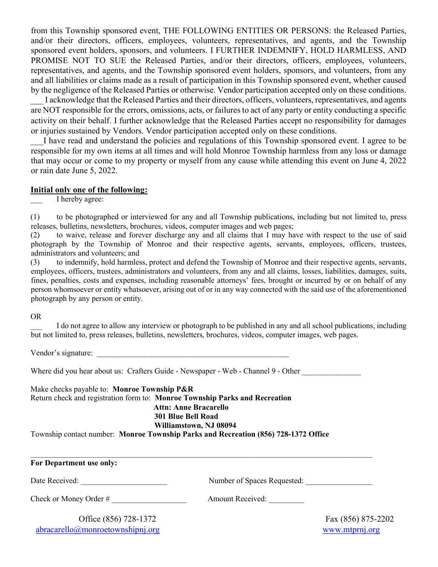from this Township sponsored event, THE FOLLOWING ENTITIES OR PERSONS: the Released Parties, and/or their directors, officers, employees, volunteers, representatives, and agents, and the Township sponsored event holders, sponsors, and volunteers. I FURTHER INDEMNIFY, HOLD HARMLESS, AND PROMISE NOT TO SUE the Released Parties, and/or their directors, officers, employees, volunteers, representatives, and agents, and the Township sponsored event holders, sponsors, and volunteers, from any and all liabilities or claims made as a result of participation in this Township sponsored event, whether caused by the negligence of the Released Parties or otherwise. Vendor participation accepted only on these conditions.

I acknowledge that the Released Parties and their directors, officers, volunteers, representatives, and agents are NOT responsible for the errors, omissions, acts, or failures to act of any party or entity conducting a specific activity on their behalf. I further acknowledge that the Released Parties accept no responsibility for damages or injuries sustained by Vendors. Vendor participation accepted only on these conditions.

I have read and understand the policies and regulations of this Township sponsored event. I agree to be responsible for my own items at all times and will hold Monroe Township harmless from any loss or damage that may occur or come to my property or myself from any cause while attending this event on June 4, 2022 or rain date June 5, 2022.

#### Initial only one of the following:

I hereby agree:

(1) to be photographed or interviewed for any and all Township publications, including but not limited to, press releases, bulletins, newsletters, brochures, videos, computer images and web pages;

(2) to waive, release and forever discharge any and all claims that I may have with respect to the use of said photograph by the Township of Monroe and their respective agents, servants, employees, officers, trustees, administrators and volunteers; and

(3) to indemnify, hold harmless, protect and defend the Township of Monroe and their respective agents, servants, employees, officers, trustees, administrators and volunteers, from any and all claims, losses, liabilities, damages, suits, fines, penalties, costs and expenses, including reasonable attorneys' fees, brought or incurred by or on behalf of any person whomsoever or entity whatsoever, arising out of or in any way connected with the said use of the aforementioned photograph by any person or entity.

#### OR

I do not agree to allow any interview or photograph to be published in any and all school publications, including but not limited to, press releases, bulletins, newsletters, brochures, videos, computer images, web pages.

Vendor's signature:

Where did you hear about us: Crafters Guide - Newspaper - Web - Channel 9 - Other

Make checks payable to: Monroe Township P&R Return check and registration form to: Monroe Township Parks and Recreation Attn: Anne Bracarello 301 Blue Bell Road Williamstown, NJ 08094

Township contact number: Monroe Township Parks and Recreation (856) 728-1372 Office

| For Department use only:                     |                             |                    |  |
|----------------------------------------------|-----------------------------|--------------------|--|
| Date Received:                               | Number of Spaces Requested: |                    |  |
| Check or Money Order #                       | <b>Amount Received:</b>     |                    |  |
| Office (856) 728-1372                        |                             | Fax (856) 875-2202 |  |
| $abracarello(\partial)$ monroetownshipnj.org |                             | www.mtprnj.org     |  |